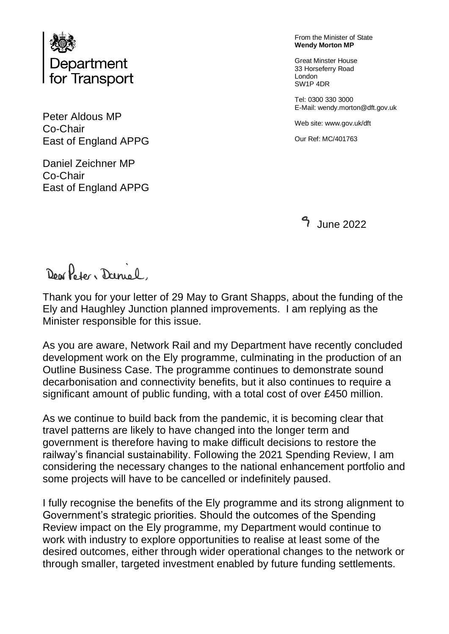

Peter Aldous MP Co-Chair East of England APPG

Daniel Zeichner MP Co-Chair East of England APPG From the Minister of State **Wendy Morton MP**

Great Minster House 33 Horseferry Road London SW1P 4DR

Tel: 0300 330 3000 E-Mail: wendy.morton@dft.gov.uk

Web site: www.gov.uk/dft

Our Ref: MC/401763

June 2022

Don Poter, Daniel

Thank you for your letter of 29 May to Grant Shapps, about the funding of the Ely and Haughley Junction planned improvements. I am replying as the Minister responsible for this issue.

As you are aware, Network Rail and my Department have recently concluded development work on the Ely programme, culminating in the production of an Outline Business Case. The programme continues to demonstrate sound decarbonisation and connectivity benefits, but it also continues to require a significant amount of public funding, with a total cost of over £450 million.

As we continue to build back from the pandemic, it is becoming clear that travel patterns are likely to have changed into the longer term and government is therefore having to make difficult decisions to restore the railway's financial sustainability. Following the 2021 Spending Review, I am considering the necessary changes to the national enhancement portfolio and some projects will have to be cancelled or indefinitely paused.

I fully recognise the benefits of the Ely programme and its strong alignment to Government's strategic priorities. Should the outcomes of the Spending Review impact on the Ely programme, my Department would continue to work with industry to explore opportunities to realise at least some of the desired outcomes, either through wider operational changes to the network or through smaller, targeted investment enabled by future funding settlements.